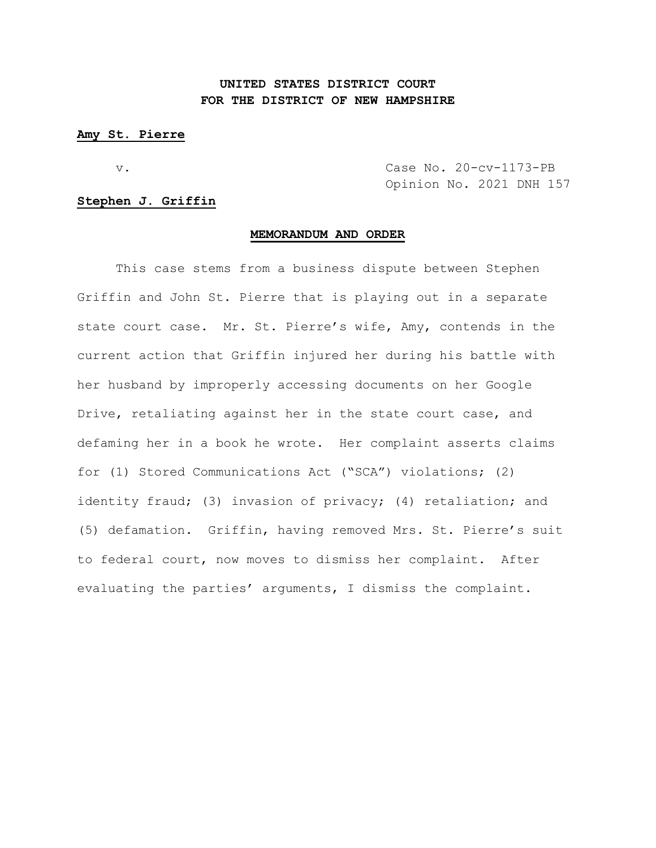## **UNITED STATES DISTRICT COURT FOR THE DISTRICT OF NEW HAMPSHIRE**

### **Amy St. Pierre**

v. Case No. 20-cv-1173-PB Opinion No. 2021 DNH 157

## **Stephen J. Griffin**

#### **MEMORANDUM AND ORDER**

This case stems from a business dispute between Stephen Griffin and John St. Pierre that is playing out in a separate state court case. Mr. St. Pierre's wife, Amy, contends in the current action that Griffin injured her during his battle with her husband by improperly accessing documents on her Google Drive, retaliating against her in the state court case, and defaming her in a book he wrote. Her complaint asserts claims for (1) Stored Communications Act ("SCA") violations; (2) identity fraud; (3) invasion of privacy; (4) retaliation; and (5) defamation. Griffin, having removed Mrs. St. Pierre's suit to federal court, now moves to dismiss her complaint. After evaluating the parties' arguments, I dismiss the complaint.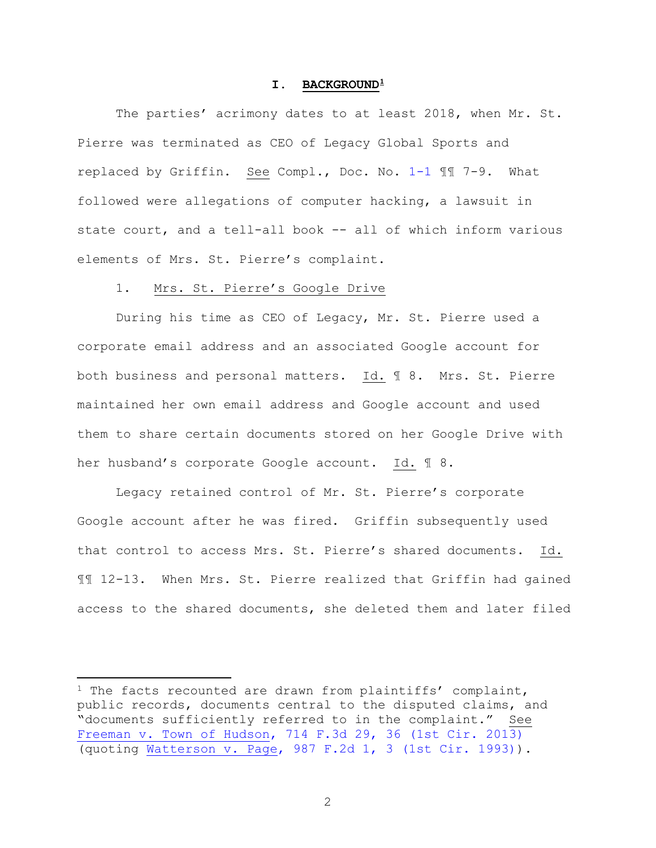### **I. BACKGROUND[1](#page-1-0)**

The parties' acrimony dates to at least 2018, when Mr. St. Pierre was terminated as CEO of Legacy Global Sports and replaced by Griffin. See Compl., Doc. No. [1-1](https://nhd-ecf.sso.dcn/doc1/11712554197) ¶¶ 7-9. What followed were allegations of computer hacking, a lawsuit in state court, and a tell-all book -- all of which inform various elements of Mrs. St. Pierre's complaint.

## 1. Mrs. St. Pierre's Google Drive

During his time as CEO of Legacy, Mr. St. Pierre used a corporate email address and an associated Google account for both business and personal matters. Id. ¶ 8. Mrs. St. Pierre maintained her own email address and Google account and used them to share certain documents stored on her Google Drive with her husband's corporate Google account. Id. ¶ 8.

Legacy retained control of Mr. St. Pierre's corporate Google account after he was fired. Griffin subsequently used that control to access Mrs. St. Pierre's shared documents. Id. ¶¶ 12-13. When Mrs. St. Pierre realized that Griffin had gained access to the shared documents, she deleted them and later filed

<span id="page-1-0"></span><sup>&</sup>lt;sup>1</sup> The facts recounted are drawn from plaintiffs' complaint, public records, documents central to the disputed claims, and "documents sufficiently referred to in the complaint." See [Freeman v. Town of Hudson, 714 F.3d 29, 36 \(1st Cir. 2013\)](https://www.westlaw.com/Document/I90d12dd8a5f311e2a555d241dae65084/View/FullText.html?transitionType=Default&contextData=(sc.Default)&VR=3.0&RS=da3.0&fragmentIdentifier=co_pp_sp_506_36) (quoting [Watterson v. Page, 987 F.2d 1, 3 \(1st Cir. 1993\)\)](https://www.westlaw.com/Document/I84c08488957211d993e6d35cc61aab4a/View/FullText.html?transitionType=Default&contextData=(sc.Default)&VR=3.0&RS=da3.0&fragmentIdentifier=co_pp_sp_350_3).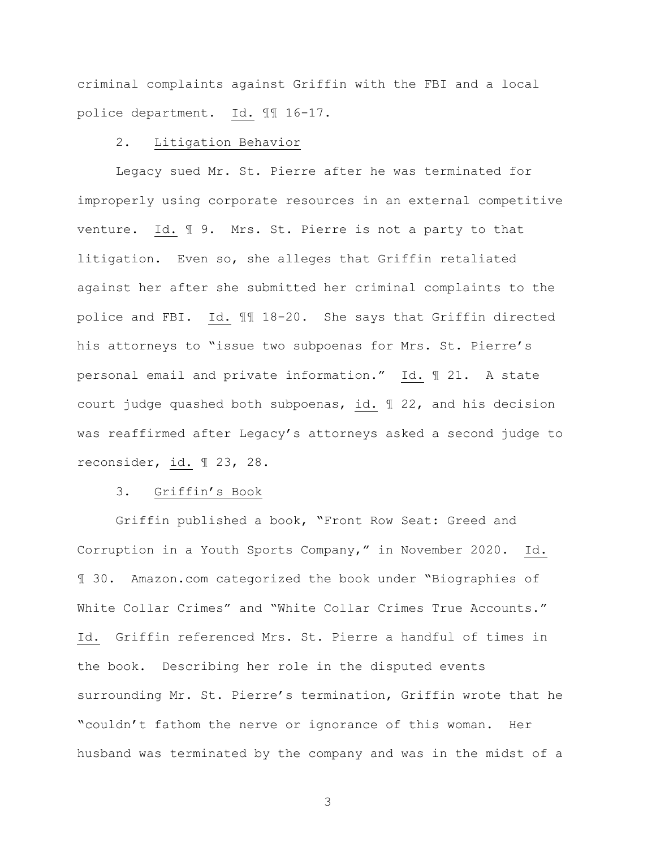criminal complaints against Griffin with the FBI and a local police department. Id. ¶¶ 16-17.

## 2. Litigation Behavior

Legacy sued Mr. St. Pierre after he was terminated for improperly using corporate resources in an external competitive venture. Id. ¶ 9. Mrs. St. Pierre is not a party to that litigation. Even so, she alleges that Griffin retaliated against her after she submitted her criminal complaints to the police and FBI. Id. ¶¶ 18-20. She says that Griffin directed his attorneys to "issue two subpoenas for Mrs. St. Pierre's personal email and private information." Id. ¶ 21. A state court judge quashed both subpoenas, id. ¶ 22, and his decision was reaffirmed after Legacy's attorneys asked a second judge to reconsider, id. ¶ 23, 28.

## 3. Griffin's Book

Griffin published a book, "Front Row Seat: Greed and Corruption in a Youth Sports Company," in November 2020. Id. ¶ 30. Amazon.com categorized the book under "Biographies of White Collar Crimes" and "White Collar Crimes True Accounts." Id. Griffin referenced Mrs. St. Pierre a handful of times in the book. Describing her role in the disputed events surrounding Mr. St. Pierre's termination, Griffin wrote that he "couldn't fathom the nerve or ignorance of this woman. Her husband was terminated by the company and was in the midst of a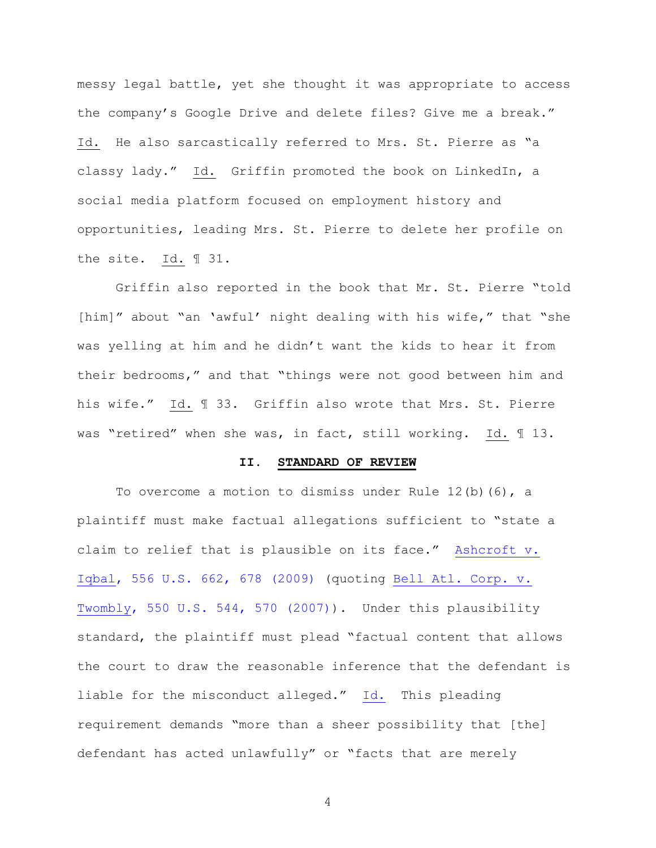messy legal battle, yet she thought it was appropriate to access the company's Google Drive and delete files? Give me a break." Id. He also sarcastically referred to Mrs. St. Pierre as "a classy lady." Id. Griffin promoted the book on LinkedIn, a social media platform focused on employment history and opportunities, leading Mrs. St. Pierre to delete her profile on the site. Id. ¶ 31.

Griffin also reported in the book that Mr. St. Pierre "told [him]" about "an 'awful' night dealing with his wife," that "she was yelling at him and he didn't want the kids to hear it from their bedrooms," and that "things were not good between him and his wife." Id. ¶ 33. Griffin also wrote that Mrs. St. Pierre was "retired" when she was, in fact, still working. Id. ¶ 13.

#### **II. STANDARD OF REVIEW**

To overcome a motion to dismiss under Rule  $12(b)(6)$ , a plaintiff must make factual allegations sufficient to "state a claim to relief that is plausible on its face." [Ashcroft v.](https://www.westlaw.com/Document/I90623386439011de8bf6cd8525c41437/View/FullText.html?transitionType=Default&contextData=(sc.Default)&VR=3.0&RS=da3.0&fragmentIdentifier=co_pp_sp_780_678)  [Iqbal, 556 U.S. 662, 678 \(2009\)](https://www.westlaw.com/Document/I90623386439011de8bf6cd8525c41437/View/FullText.html?transitionType=Default&contextData=(sc.Default)&VR=3.0&RS=da3.0&fragmentIdentifier=co_pp_sp_780_678) (quoting [Bell Atl.](https://www.westlaw.com/Document/Ib53eb62e07a011dcb035bac3a32ef289/View/FullText.html?transitionType=Default&contextData=(sc.Default)&VR=3.0&RS=da3.0&fragmentIdentifier=co_pp_sp_780_570) Corp. v. [Twombly, 550 U.S. 544, 570 \(2007\)\)](https://www.westlaw.com/Document/Ib53eb62e07a011dcb035bac3a32ef289/View/FullText.html?transitionType=Default&contextData=(sc.Default)&VR=3.0&RS=da3.0&fragmentIdentifier=co_pp_sp_780_570). Under this plausibility standard, the plaintiff must plead "factual content that allows the court to draw the reasonable inference that the defendant is liable for the misconduct alleged." [Id.](https://www.westlaw.com/Document/I90623386439011de8bf6cd8525c41437/View/FullText.html?transitionType=Default&contextData=(sc.Default)&VR=3.0&RS=da3.0&fragmentIdentifier=co_pp_sp_780_678) This pleading requirement demands "more than a sheer possibility that [the] defendant has acted unlawfully" or "facts that are merely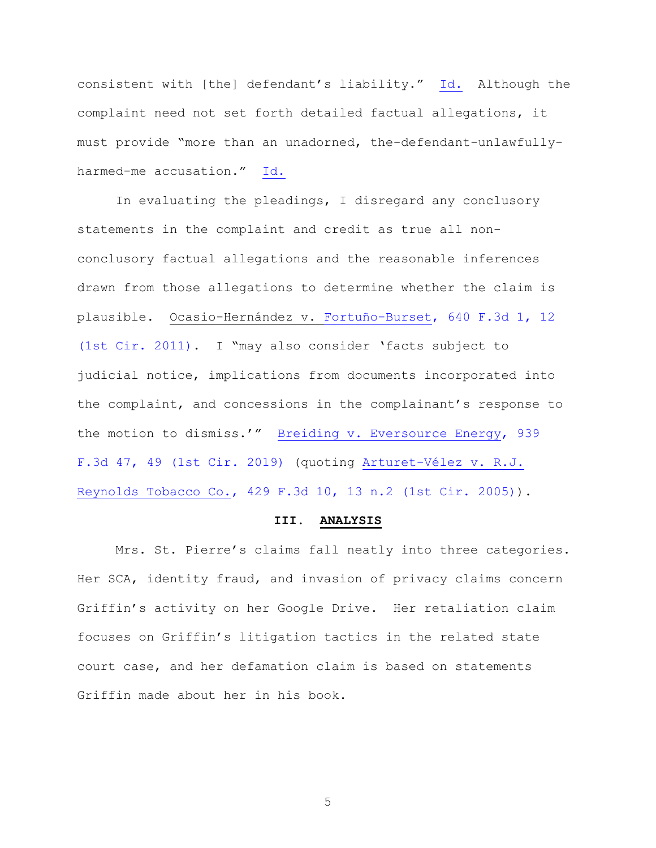consistent with [the] defendant's liability." [Id.](https://www.westlaw.com/Document/I90623386439011de8bf6cd8525c41437/View/FullText.html?transitionType=Default&contextData=(sc.Default)&VR=3.0&RS=da3.0&fragmentIdentifier=co_pp_sp_780_678) Although the complaint need not set forth detailed factual allegations, it must provide "more than an unadorned, the-defendant-unlawfullyharmed-me accusation." [Id.](https://www.westlaw.com/Document/I90623386439011de8bf6cd8525c41437/View/FullText.html?transitionType=Default&contextData=(sc.Default)&VR=3.0&RS=da3.0&fragmentIdentifier=co_pp_sp_780_678) 

In evaluating the pleadings, I disregard any conclusory statements in the complaint and credit as true all nonconclusory factual allegations and the reasonable inferences drawn from those allegations to determine whether the claim is plausible. Ocasio-Hernández v. [Fortuño-Burset, 640 F.3d 1, 12](https://www.westlaw.com/Document/If0989fea5ee911e097a4a9f0a6e10efc/View/FullText.html?transitionType=Default&contextData=(sc.Default)&VR=3.0&RS=da3.0&fragmentIdentifier=co_pp_sp_506_12)  [\(1st Cir. 2011\).](https://www.westlaw.com/Document/If0989fea5ee911e097a4a9f0a6e10efc/View/FullText.html?transitionType=Default&contextData=(sc.Default)&VR=3.0&RS=da3.0&fragmentIdentifier=co_pp_sp_506_12) I "may also consider 'facts subject to judicial notice, implications from documents incorporated into the complaint, and concessions in the complainant's response to the motion to dismiss.'" [Breiding v. Eversource Energy, 939](https://www.westlaw.com/Document/I64446650da9411e99758f497fe5ac24e/View/FullText.html?transitionType=Default&contextData=(sc.Default)&VR=3.0&RS=da3.0&fragmentIdentifier=co_pp_sp_506_49)  [F.3d 47, 49 \(1st Cir. 2019\)](https://www.westlaw.com/Document/I64446650da9411e99758f497fe5ac24e/View/FullText.html?transitionType=Default&contextData=(sc.Default)&VR=3.0&RS=da3.0&fragmentIdentifier=co_pp_sp_506_49) (quoting [Arturet-Vélez v. R.J.](https://www.westlaw.com/Document/I4d99c7f7551c11dab072a248d584787d/View/FullText.html?transitionType=Default&contextData=(sc.Default)&VR=3.0&RS=da3.0&fragmentIdentifier=co_pp_sp_506_13+n.2)  [Reynolds Tobacco Co., 429 F.3d 10, 13 n.2 \(1st Cir. 2005\)\)](https://www.westlaw.com/Document/I4d99c7f7551c11dab072a248d584787d/View/FullText.html?transitionType=Default&contextData=(sc.Default)&VR=3.0&RS=da3.0&fragmentIdentifier=co_pp_sp_506_13+n.2).

#### **III. ANALYSIS**

Mrs. St. Pierre's claims fall neatly into three categories. Her SCA, identity fraud, and invasion of privacy claims concern Griffin's activity on her Google Drive. Her retaliation claim focuses on Griffin's litigation tactics in the related state court case, and her defamation claim is based on statements Griffin made about her in his book.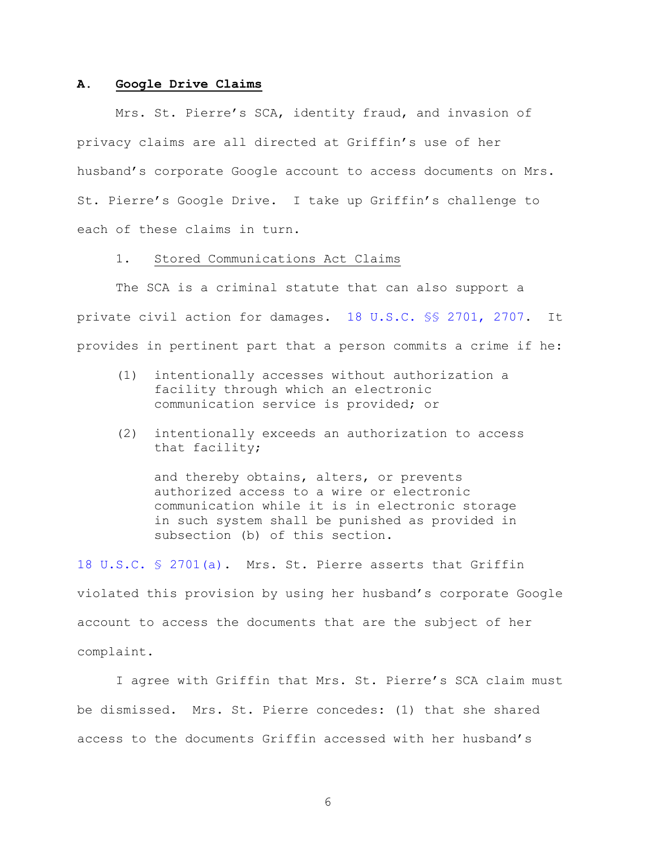#### **A. Google Drive Claims**

Mrs. St. Pierre's SCA, identity fraud, and invasion of privacy claims are all directed at Griffin's use of her husband's corporate Google account to access documents on Mrs. St. Pierre's Google Drive. I take up Griffin's challenge to each of these claims in turn.

## 1. Stored Communications Act Claims

The SCA is a criminal statute that can also support a private civil action for damages. [18 U.S.C. §§](https://www.westlaw.com/Document/N5578FD70F4E911E89B3D93CD82803C66/View/FullText.html?transitionType=Default&contextData=(sc.Default)&VR=3.0&RS=da3.0) 2701, 2707. It provides in pertinent part that a person commits a crime if he:

- (1) intentionally accesses without authorization a facility through which an electronic communication service is provided; or
- (2) intentionally exceeds an authorization to access that facility;

and thereby obtains, alters, or prevents authorized access to a wire or electronic communication while it is in electronic storage in such system shall be punished as provided in subsection (b) of this section.

[18 U.S.C. §](https://www.westlaw.com/Document/N5578FD70F4E911E89B3D93CD82803C66/View/FullText.html?transitionType=Default&contextData=(sc.Default)&VR=3.0&RS=da3.0) 2701(a). Mrs. St. Pierre asserts that Griffin violated this provision by using her husband's corporate Google account to access the documents that are the subject of her complaint.

I agree with Griffin that Mrs. St. Pierre's SCA claim must be dismissed. Mrs. St. Pierre concedes: (1) that she shared access to the documents Griffin accessed with her husband's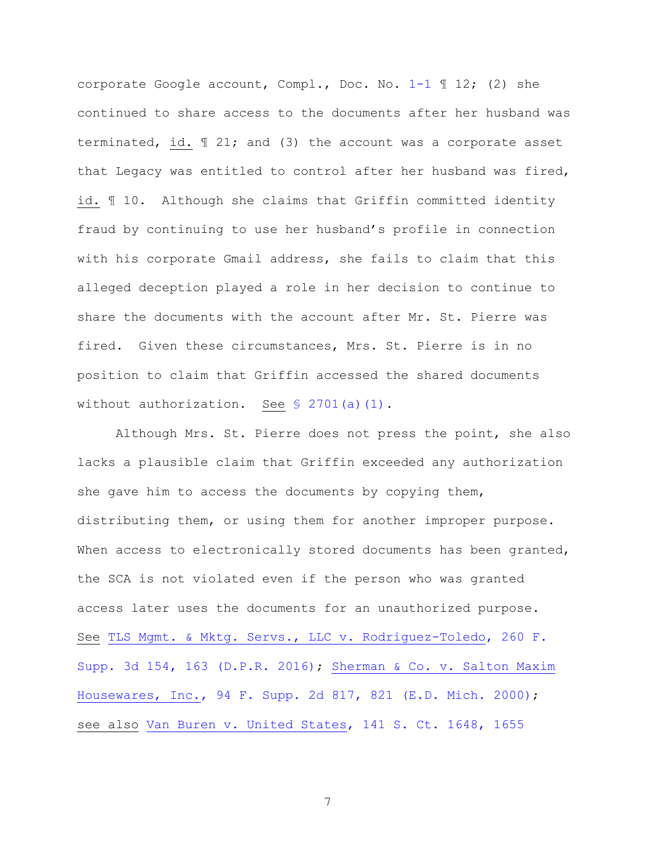corporate Google account, Compl., Doc. No. [1-1](https://nhd-ecf.sso.dcn/doc1/11712554197) ¶ 12; (2) she continued to share access to the documents after her husband was terminated, id. ¶ 21; and (3) the account was a corporate asset that Legacy was entitled to control after her husband was fired, id. ¶ 10. Although she claims that Griffin committed identity fraud by continuing to use her husband's profile in connection with his corporate Gmail address, she fails to claim that this alleged deception played a role in her decision to continue to share the documents with the account after Mr. St. Pierre was fired. Given these circumstances, Mrs. St. Pierre is in no position to claim that Griffin accessed the shared documents without authorization. See § [2701\(a\)\(1\).](https://www.westlaw.com/Document/N5578FD70F4E911E89B3D93CD82803C66/View/FullText.html?transitionType=Default&contextData=(sc.Default)&VR=3.0&RS=da3.0)

Although Mrs. St. Pierre does not press the point, she also lacks a plausible claim that Griffin exceeded any authorization she gave him to access the documents by copying them, distributing them, or using them for another improper purpose. When access to electronically stored documents has been granted, the SCA is not violated even if the person who was granted access later uses the documents for an unauthorized purpose. See [TLS Mgmt. & Mktg. Servs., LLC v. Rodriguez-Toledo, 260 F.](https://www.westlaw.com/Document/I8ae2cdd0c93811e6ac07a76176915fee/View/FullText.html?transitionType=Default&contextData=(sc.Default)&VR=3.0&RS=da3.0&fragmentIdentifier=co_pp_sp_7903_163)  [Supp. 3d 154, 163 \(D.P.R. 2016\);](https://www.westlaw.com/Document/I8ae2cdd0c93811e6ac07a76176915fee/View/FullText.html?transitionType=Default&contextData=(sc.Default)&VR=3.0&RS=da3.0&fragmentIdentifier=co_pp_sp_7903_163) [Sherman & Co. v. Salton Maxim](https://www.westlaw.com/Document/Ib6ad2f9753cb11d9a99c85a9e6023ffa/View/FullText.html?transitionType=Default&contextData=(sc.Default)&VR=3.0&RS=da3.0&fragmentIdentifier=co_pp_sp_4637_821)  [Housewares, Inc., 94 F. Supp. 2d 817, 821 \(E.D. Mich. 2000\);](https://www.westlaw.com/Document/Ib6ad2f9753cb11d9a99c85a9e6023ffa/View/FullText.html?transitionType=Default&contextData=(sc.Default)&VR=3.0&RS=da3.0&fragmentIdentifier=co_pp_sp_4637_821) see also [Van Buren v. United States, 141 S. Ct. 1648, 1655](https://www.westlaw.com/Document/I2752748fc35a11ebaa829251c41d9359/View/FullText.html?transitionType=Default&contextData=(sc.Default)&VR=3.0&RS=da3.0)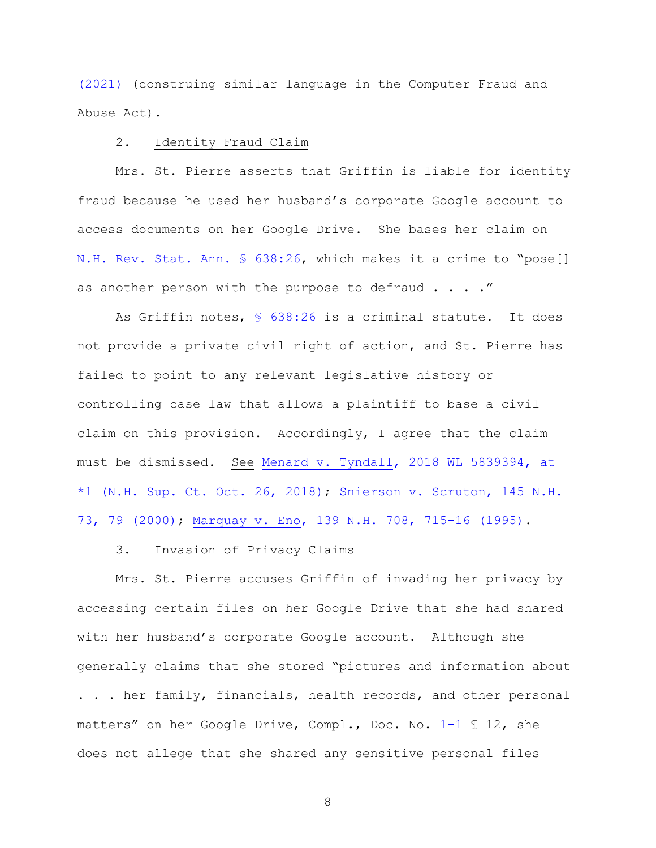[\(2021\)](https://www.westlaw.com/Document/I2752748fc35a11ebaa829251c41d9359/View/FullText.html?transitionType=Default&contextData=(sc.Default)&VR=3.0&RS=da3.0) (construing similar language in the Computer Fraud and Abuse Act).

## 2. Identity Fraud Claim

Mrs. St. Pierre asserts that Griffin is liable for identity fraud because he used her husband's corporate Google account to access documents on her Google Drive. She bases her claim on [N.H. Rev. Stat. Ann. §](https://www.westlaw.com/Document/NF2E222D0DAD011DAB50AC802941FC15B/View/FullText.html?transitionType=Default&contextData=(sc.Default)&VR=3.0&RS=da3.0) 638:26, which makes it a crime to "pose[] as another person with the purpose to defraud  $\ldots$ ."

As Griffin notes, [§ 638:26](https://www.westlaw.com/Document/NF2E222D0DAD011DAB50AC802941FC15B/View/FullText.html?transitionType=Default&contextData=(sc.Default)&VR=3.0&RS=da3.0) is a criminal statute. It does not provide a private civil right of action, and St. Pierre has failed to point to any relevant legislative history or controlling case law that allows a plaintiff to base a civil claim on this provision. Accordingly, I agree that the claim must be dismissed. See [Menard v. Tyndall, 2018 WL 5839394, at](https://www.westlaw.com/Document/I8d554660e3b211e8a99cca37ea0f7dc8/View/FullText.html?transitionType=Default&contextData=(sc.Default)&VR=3.0&RS=da3.0&fragmentIdentifier=co_pp_sp_999_1)  [\\*1 \(N.H. Sup. Ct. Oct.](https://www.westlaw.com/Document/I8d554660e3b211e8a99cca37ea0f7dc8/View/FullText.html?transitionType=Default&contextData=(sc.Default)&VR=3.0&RS=da3.0&fragmentIdentifier=co_pp_sp_999_1) 26, 2018); [Snierson v. Scruton, 145](https://www.westlaw.com/Document/I1cc1f45232b611d98b61a35269fc5f88/View/FullText.html?transitionType=Default&contextData=(sc.Default)&VR=3.0&RS=da3.0&fragmentIdentifier=co_pp_sp_579_79) N.H. [73, 79 \(2000\);](https://www.westlaw.com/Document/I1cc1f45232b611d98b61a35269fc5f88/View/FullText.html?transitionType=Default&contextData=(sc.Default)&VR=3.0&RS=da3.0&fragmentIdentifier=co_pp_sp_579_79) [Marquay v. Eno, 139 N.H. 708, 715-16 \(1995\).](https://www.westlaw.com/Document/I6c4e7146355611d986b0aa9c82c164c0/View/FullText.html?transitionType=Default&contextData=(sc.Default)&VR=3.0&RS=da3.0&fragmentIdentifier=co_pp_sp_579_715)

### 3. Invasion of Privacy Claims

Mrs. St. Pierre accuses Griffin of invading her privacy by accessing certain files on her Google Drive that she had shared with her husband's corporate Google account. Although she generally claims that she stored "pictures and information about . . . her family, financials, health records, and other personal matters" on her Google Drive, Compl., Doc. No. [1-1](https://nhd-ecf.sso.dcn/doc1/11712554197) ¶ 12, she does not allege that she shared any sensitive personal files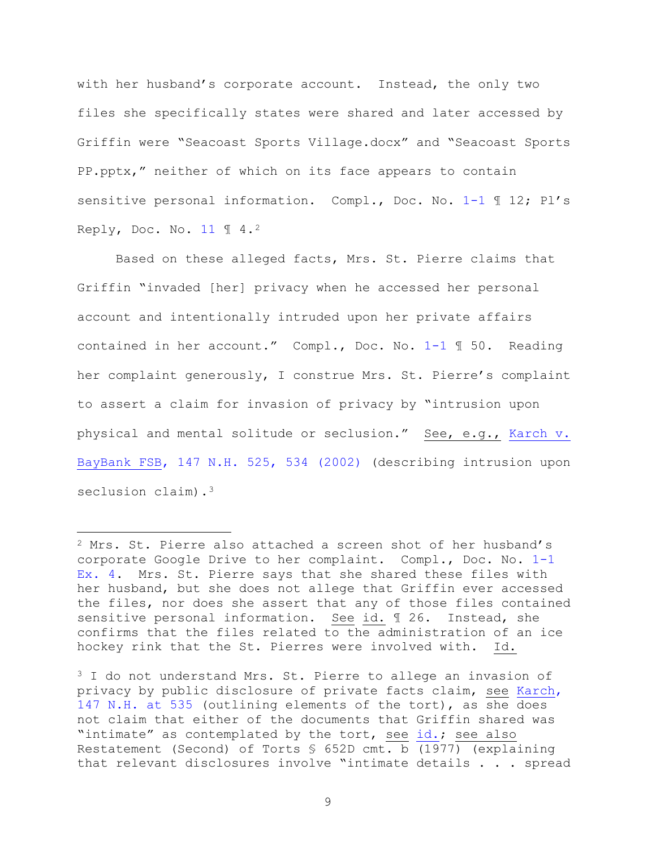with her husband's corporate account. Instead, the only two files she specifically states were shared and later accessed by Griffin were "Seacoast Sports Village.docx" and "Seacoast Sports PP.pptx," neither of which on its face appears to contain sensitive personal information. Compl., Doc. No. [1-1](https://nhd-ecf.sso.dcn/doc1/11712554197) 1 12; Pl's Reply, Doc. No. [11](https://nhd-ecf.sso.dcn/doc1/11712569870) ¶ 4.[2](#page-8-0) 

Based on these alleged facts, Mrs. St. Pierre claims that Griffin "invaded [her] privacy when he accessed her personal account and intentionally intruded upon her private affairs contained in her account." Compl., Doc. No. [1-1](https://nhd-ecf.sso.dcn/doc1/11712554197) ¶ 50. Reading her complaint generously, I construe Mrs. St. Pierre's complaint to assert a claim for invasion of privacy by "intrusion upon physical and mental solitude or seclusion." See, e.g., [Karch v.](https://www.westlaw.com/Document/I69ad289832dc11d98b61a35269fc5f88/View/FullText.html?transitionType=Default&contextData=(sc.Default)&VR=3.0&RS=da3.0&fragmentIdentifier=co_pp_sp_579_534)  [BayBank FSB, 147 N.H. 525, 534 \(2002\)](https://www.westlaw.com/Document/I69ad289832dc11d98b61a35269fc5f88/View/FullText.html?transitionType=Default&contextData=(sc.Default)&VR=3.0&RS=da3.0&fragmentIdentifier=co_pp_sp_579_534) (describing intrusion upon seclusion claim).<sup>3</sup>

<span id="page-8-0"></span><sup>2</sup> Mrs. St. Pierre also attached a screen shot of her husband's corporate Google Drive to her complaint. Compl., Doc. No. [1-1](https://nhd-ecf.sso.dcn/doc1/11712554197) Ex. 4. Mrs. St. Pierre says that she shared these files with her husband, but she does not allege that Griffin ever accessed the files, nor does she assert that any of those files contained sensitive personal information. See id. ¶ 26. Instead, she confirms that the files related to the administration of an ice hockey rink that the St. Pierres were involved with. Id.

<span id="page-8-1"></span> $3$  I do not understand Mrs. St. Pierre to allege an invasion of privacy by public disclosure of private facts claim, see [Karch,](https://www.westlaw.com/Document/I69ad289832dc11d98b61a35269fc5f88/View/FullText.html?transitionType=Default&contextData=(sc.Default)&VR=3.0&RS=da3.0&fragmentIdentifier=co_pp_sp_579_535)  [147 N.H. at 535](https://www.westlaw.com/Document/I69ad289832dc11d98b61a35269fc5f88/View/FullText.html?transitionType=Default&contextData=(sc.Default)&VR=3.0&RS=da3.0&fragmentIdentifier=co_pp_sp_579_535) (outlining elements of the tort), as she does not claim that either of the documents that Griffin shared was "intimate" as contemplated by the tort, see [id.;](https://www.westlaw.com/Document/I69ad289832dc11d98b61a35269fc5f88/View/FullText.html?transitionType=Default&contextData=(sc.Default)&VR=3.0&RS=da3.0&fragmentIdentifier=co_pp_sp_579_535) see also Restatement (Second) of Torts § 652D cmt. b (1977) (explaining that relevant disclosures involve "intimate details . . . spread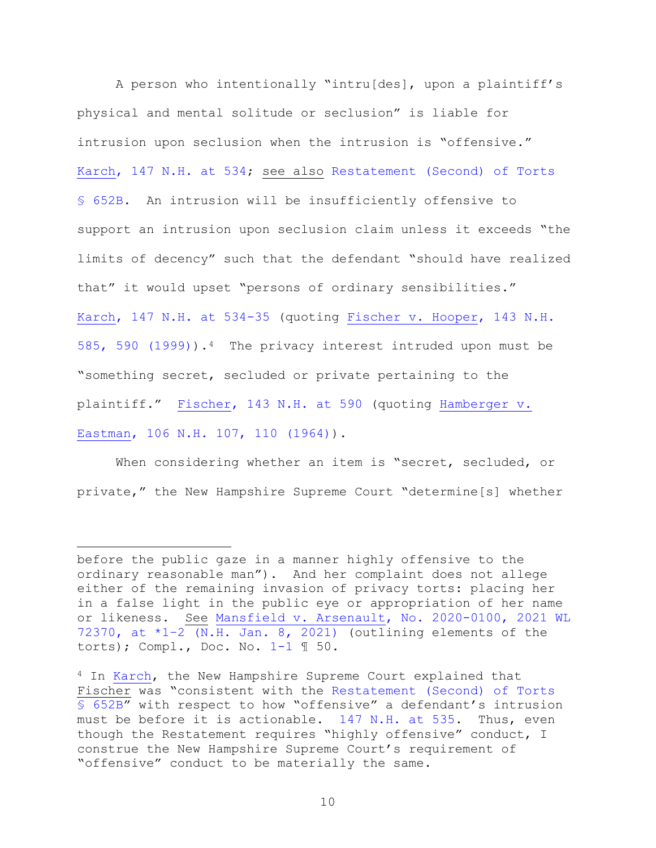A person who intentionally "intru[des], upon a plaintiff's physical and mental solitude or seclusion" is liable for intrusion upon seclusion when the intrusion is "offensive." [Karch, 147 N.H. at 534;](https://www.westlaw.com/Document/I69ad289832dc11d98b61a35269fc5f88/View/FullText.html?transitionType=Default&contextData=(sc.Default)&VR=3.0&RS=da3.0&fragmentIdentifier=co_pp_sp_579_534) see also [Restatement \(Second\) of Torts](https://www.westlaw.com/Document/I82cb9f16dc1611e2ac56d4437d510c12/View/FullText.html?transitionType=Default&contextData=(sc.Default)&VR=3.0&RS=da3.0)  § [652B.](https://www.westlaw.com/Document/I82cb9f16dc1611e2ac56d4437d510c12/View/FullText.html?transitionType=Default&contextData=(sc.Default)&VR=3.0&RS=da3.0) An intrusion will be insufficiently offensive to support an intrusion upon seclusion claim unless it exceeds "the limits of decency" such that the defendant "should have realized that" it would upset "persons of ordinary sensibilities." [Karch, 147 N.H. at 534-35](https://www.westlaw.com/Document/I69ad289832dc11d98b61a35269fc5f88/View/FullText.html?transitionType=Default&contextData=(sc.Default)&VR=3.0&RS=da3.0&fragmentIdentifier=co_pp_sp_579_534) (quoting [Fischer v. Hooper, 143 N.H.](https://www.westlaw.com/Document/Ib63d162d372311d9abe5ec754599669c/View/FullText.html?transitionType=Default&contextData=(sc.Default)&VR=3.0&RS=da3.0&fragmentIdentifier=co_pp_sp_579_590)  [585, 590 \(1999\)\)](https://www.westlaw.com/Document/Ib63d162d372311d9abe5ec754599669c/View/FullText.html?transitionType=Default&contextData=(sc.Default)&VR=3.0&RS=da3.0&fragmentIdentifier=co_pp_sp_579_590).[4](#page-9-0) The privacy interest intruded upon must be "something secret, secluded or private pertaining to the plaintiff." [Fischer, 143 N.H. at 590](https://www.westlaw.com/Document/Ib63d162d372311d9abe5ec754599669c/View/FullText.html?transitionType=Default&contextData=(sc.Default)&VR=3.0&RS=da3.0&fragmentIdentifier=co_pp_sp_579_590) (quoting [Hamberger v.](https://www.westlaw.com/Document/Ia08e5b1433ed11d98b61a35269fc5f88/View/FullText.html?transitionType=Default&contextData=(sc.Default)&VR=3.0&RS=da3.0&fragmentIdentifier=co_pp_sp_579_110)  [Eastman, 106 N.H. 107, 110 \(1964\)\)](https://www.westlaw.com/Document/Ia08e5b1433ed11d98b61a35269fc5f88/View/FullText.html?transitionType=Default&contextData=(sc.Default)&VR=3.0&RS=da3.0&fragmentIdentifier=co_pp_sp_579_110).

When considering whether an item is "secret, secluded, or private," the New Hampshire Supreme Court "determine[s] whether

before the public gaze in a manner highly offensive to the ordinary reasonable man"). And her complaint does not allege either of the remaining invasion of privacy torts: placing her in a false light in the public eye or appropriation of her name or likeness. See [Mansfield v. Arsenault, No. 2020-0100, 2021 WL](https://www.westlaw.com/Document/I0fc30930525511eb8a6f9ded7b40efb4/View/FullText.html?transitionType=Default&contextData=(sc.Default)&VR=3.0&RS=da3.0&fragmentIdentifier=co_pp_sp_999_1)  [72370, at \\*1–2 \(N.H. Jan. 8, 2021\)](https://www.westlaw.com/Document/I0fc30930525511eb8a6f9ded7b40efb4/View/FullText.html?transitionType=Default&contextData=(sc.Default)&VR=3.0&RS=da3.0&fragmentIdentifier=co_pp_sp_999_1) (outlining elements of the torts); Compl., Doc. No.  $1-1 \text{ } \text{T}$  50.

<span id="page-9-0"></span><sup>4</sup> In [Karch,](https://www.westlaw.com/Document/I69ad289832dc11d98b61a35269fc5f88/View/FullText.html?transitionType=Default&contextData=(sc.Default)&VR=3.0&RS=da3.0) the New Hampshire Supreme Court explained that Fischer was "consistent with the [Restatement \(Second\) of Torts](https://www.westlaw.com/Document/I82cb9f16dc1611e2ac56d4437d510c12/View/FullText.html?transitionType=Default&contextData=(sc.Default)&VR=3.0&RS=da3.0)  § [652B"](https://www.westlaw.com/Document/I82cb9f16dc1611e2ac56d4437d510c12/View/FullText.html?transitionType=Default&contextData=(sc.Default)&VR=3.0&RS=da3.0) with respect to how "offensive" a defendant's intrusion must be before it is actionable. [147 N.H. at 535.](https://www.westlaw.com/Document/I69ad289832dc11d98b61a35269fc5f88/View/FullText.html?transitionType=Default&contextData=(sc.Default)&VR=3.0&RS=da3.0&fragmentIdentifier=co_pp_sp_579_535) Thus, even though the Restatement requires "highly offensive" conduct, I construe the New Hampshire Supreme Court's requirement of "offensive" conduct to be materially the same.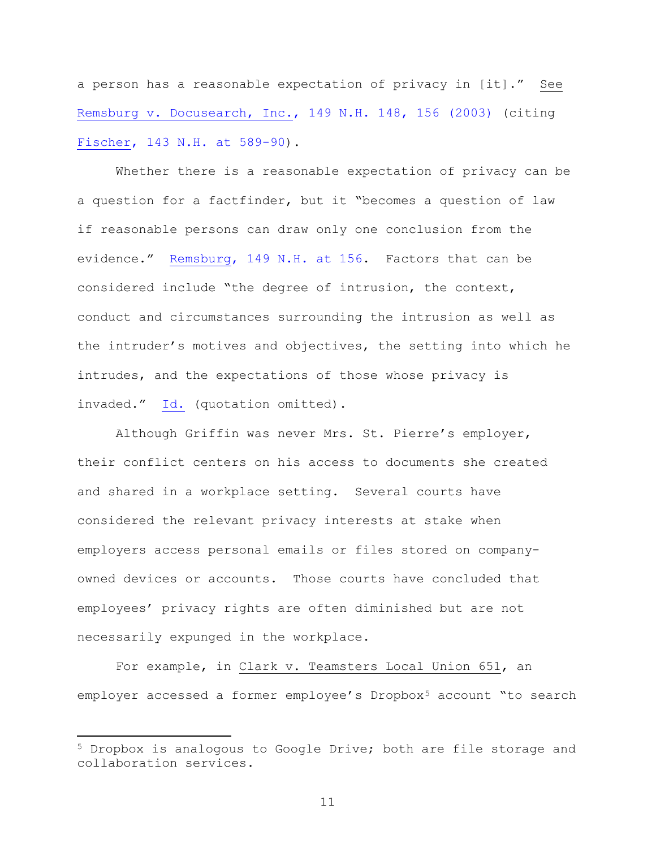a person has a reasonable expectation of privacy in [it]." See [Remsburg v. Docusearch, Inc., 149 N.H. 148, 156 \(2003\)](https://www.westlaw.com/Document/I4312569132f211d98b61a35269fc5f88/View/FullText.html?transitionType=Default&contextData=(sc.Default)&VR=3.0&RS=da3.0&fragmentIdentifier=co_pp_sp_579_156) (citing [Fischer, 143 N.H. at 589-90\)](https://www.westlaw.com/Document/Ib63d162d372311d9abe5ec754599669c/View/FullText.html?transitionType=Default&contextData=(sc.Default)&VR=3.0&RS=da3.0&fragmentIdentifier=co_pp_sp_579_589).

Whether there is a reasonable expectation of privacy can be a question for a factfinder, but it "becomes a question of law if reasonable persons can draw only one conclusion from the evidence." [Remsburg, 149 N.H. at 156.](https://www.westlaw.com/Document/I4312569132f211d98b61a35269fc5f88/View/FullText.html?transitionType=Default&contextData=(sc.Default)&VR=3.0&RS=da3.0&fragmentIdentifier=co_pp_sp_579_156) Factors that can be considered include "the degree of intrusion, the context, conduct and circumstances surrounding the intrusion as well as the intruder's motives and objectives, the setting into which he intrudes, and the expectations of those whose privacy is invaded." [Id.](https://www.westlaw.com/Document/I4312569132f211d98b61a35269fc5f88/View/FullText.html?transitionType=Default&contextData=(sc.Default)&VR=3.0&RS=da3.0&fragmentIdentifier=co_pp_sp_579_156) (quotation omitted).

Although Griffin was never Mrs. St. Pierre's employer, their conflict centers on his access to documents she created and shared in a workplace setting. Several courts have considered the relevant privacy interests at stake when employers access personal emails or files stored on companyowned devices or accounts. Those courts have concluded that employees' privacy rights are often diminished but are not necessarily expunged in the workplace.

For example, in Clark v. Teamsters Local Union 651, an employer accessed a former employee's Dropbox<sup>[5](#page-10-0)</sup> account "to search

<span id="page-10-0"></span><sup>5</sup> Dropbox is analogous to Google Drive; both are file storage and collaboration services.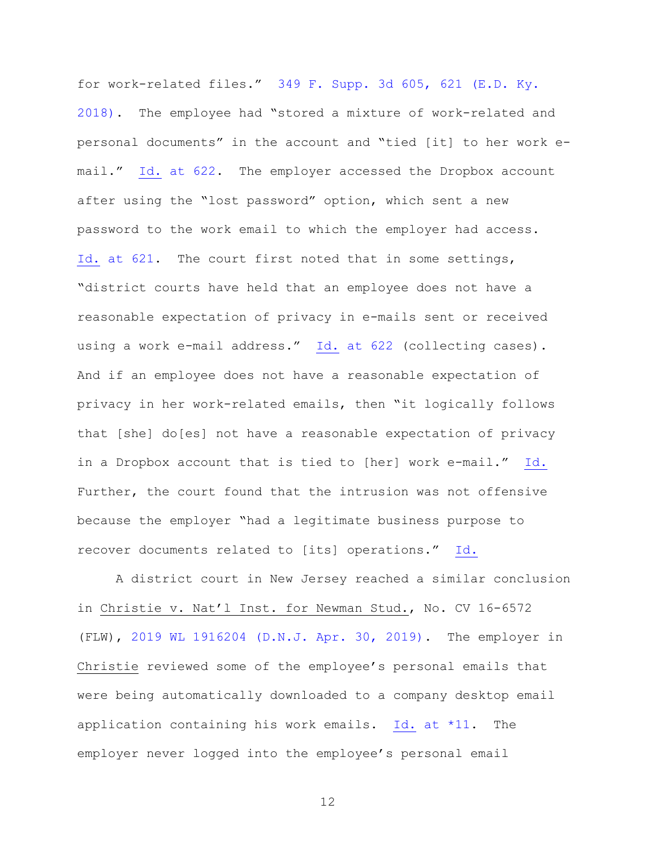for work-related files." [349 F. Supp. 3d 605, 621 \(E.D. Ky.](https://www.westlaw.com/Document/I6e1dca30d86611e8a99cca37ea0f7dc8/View/FullText.html?transitionType=Default&contextData=(sc.Default)&VR=3.0&RS=da3.0&fragmentIdentifier=co_pp_sp_7903_621)  [2018\).](https://www.westlaw.com/Document/I6e1dca30d86611e8a99cca37ea0f7dc8/View/FullText.html?transitionType=Default&contextData=(sc.Default)&VR=3.0&RS=da3.0&fragmentIdentifier=co_pp_sp_7903_621) The employee had "stored a mixture of work-related and personal documents" in the account and "tied [it] to her work email." Id. [at 622.](https://www.westlaw.com/Document/I6e1dca30d86611e8a99cca37ea0f7dc8/View/FullText.html?transitionType=Default&contextData=(sc.Default)&VR=3.0&RS=da3.0&fragmentIdentifier=co_pp_sp_7903_622) The employer accessed the Dropbox account after using the "lost password" option, which sent a new password to the work email to which the employer had access. Id. [at 621.](https://www.westlaw.com/Document/I6e1dca30d86611e8a99cca37ea0f7dc8/View/FullText.html?transitionType=Default&contextData=(sc.Default)&VR=3.0&RS=da3.0&fragmentIdentifier=co_pp_sp_7903_621) The court first noted that in some settings, "district courts have held that an employee does not have a reasonable expectation of privacy in e-mails sent or received using a work e-mail address." Id. [at 622](https://www.westlaw.com/Document/I6e1dca30d86611e8a99cca37ea0f7dc8/View/FullText.html?transitionType=Default&contextData=(sc.Default)&VR=3.0&RS=da3.0&fragmentIdentifier=co_pp_sp_7903_622) (collecting cases). And if an employee does not have a reasonable expectation of privacy in her work-related emails, then "it logically follows that [she] do[es] not have a reasonable expectation of privacy in a Dropbox account that is tied to [her] work e-mail." [Id.](https://www.westlaw.com/Document/I6e1dca30d86611e8a99cca37ea0f7dc8/View/FullText.html?transitionType=Default&contextData=(sc.Default)&VR=3.0&RS=da3.0&fragmentIdentifier=co_pp_sp_7903_622)  Further, the court found that the intrusion was not offensive because the employer "had a legitimate business purpose to recover documents related to [its] operations." [Id.](https://www.westlaw.com/Document/I6e1dca30d86611e8a99cca37ea0f7dc8/View/FullText.html?transitionType=Default&contextData=(sc.Default)&VR=3.0&RS=da3.0&fragmentIdentifier=co_pp_sp_7903_622)

A district court in New Jersey reached a similar conclusion in Christie v. Nat'l Inst. for Newman Stud., No. CV 16-6572 (FLW), [2019 WL 1916204 \(D.N.J. Apr. 30, 2019\).](https://www.westlaw.com/Document/I3087b8706bbe11e99d608a2f8658c0b8/View/FullText.html?transitionType=Default&contextData=(sc.Default)&VR=3.0&RS=da3.0) The employer in Christie reviewed some of the employee's personal emails that were being automatically downloaded to a company desktop email application containing his work emails. Id. [at \\*11.](https://www.westlaw.com/Document/I3087b8706bbe11e99d608a2f8658c0b8/View/FullText.html?transitionType=Default&contextData=(sc.Default)&VR=3.0&RS=da3.0&fragmentIdentifier=co_pp_sp_999_11) The employer never logged into the employee's personal email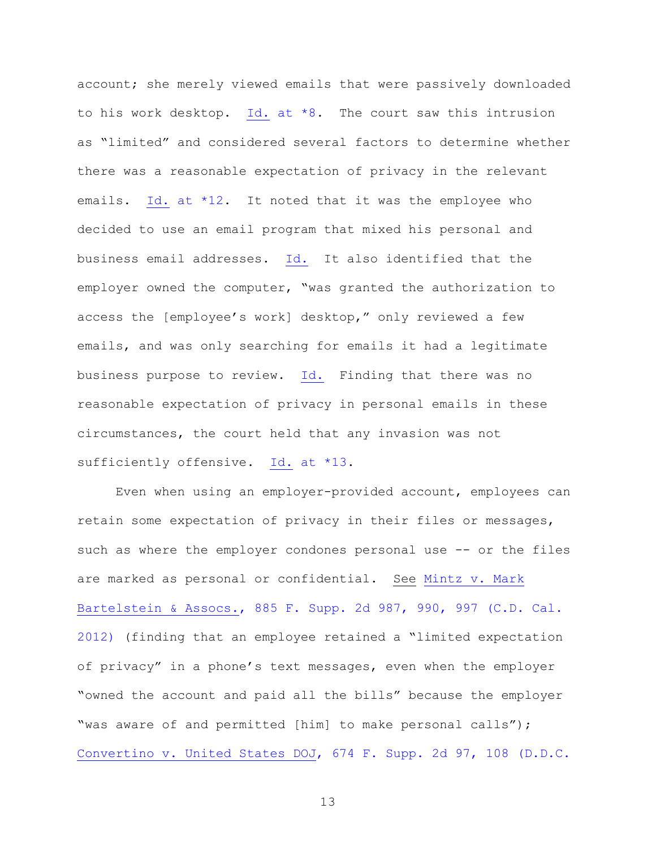account; she merely viewed emails that were passively downloaded to his work desktop. Id. at  $*8$ . The court saw this intrusion as "limited" and considered several factors to determine whether there was a reasonable expectation of privacy in the relevant emails. Id. at  $*12$ . It noted that it was the employee who decided to use an email program that mixed his personal and business email addresses. [Id.](https://www.westlaw.com/Document/I3087b8706bbe11e99d608a2f8658c0b8/View/FullText.html?transitionType=Default&contextData=(sc.Default)&VR=3.0&RS=da3.0&fragmentIdentifier=co_pp_sp_999_12) It also identified that the employer owned the computer, "was granted the authorization to access the [employee's work] desktop," only reviewed a few emails, and was only searching for emails it had a legitimate business purpose to review. [Id.](https://www.westlaw.com/Document/I3087b8706bbe11e99d608a2f8658c0b8/View/FullText.html?transitionType=Default&contextData=(sc.Default)&VR=3.0&RS=da3.0&fragmentIdentifier=co_pp_sp_999_12) Finding that there was no reasonable expectation of privacy in personal emails in these circumstances, the court held that any invasion was not sufficiently offensive. Id. [at \\*13.](https://www.westlaw.com/Document/I3087b8706bbe11e99d608a2f8658c0b8/View/FullText.html?transitionType=Default&contextData=(sc.Default)&VR=3.0&RS=da3.0&fragmentIdentifier=co_pp_sp_999_13)

Even when using an employer-provided account, employees can retain some expectation of privacy in their files or messages, such as where the employer condones personal use -- or the files are marked as personal or confidential. See [Mintz v. Mark](https://www.westlaw.com/Document/I7949a5c4ea9211e18757b822cf994add/View/FullText.html?transitionType=Default&contextData=(sc.Default)&VR=3.0&RS=da3.0&fragmentIdentifier=co_pp_sp_4637_990%2c+997)  [Bartelstein & Assocs., 885 F. Supp. 2d 987, 990, 997 \(C.D.](https://www.westlaw.com/Document/I7949a5c4ea9211e18757b822cf994add/View/FullText.html?transitionType=Default&contextData=(sc.Default)&VR=3.0&RS=da3.0&fragmentIdentifier=co_pp_sp_4637_990%2c+997) Cal. [2012\)](https://www.westlaw.com/Document/I7949a5c4ea9211e18757b822cf994add/View/FullText.html?transitionType=Default&contextData=(sc.Default)&VR=3.0&RS=da3.0&fragmentIdentifier=co_pp_sp_4637_990%2c+997) (finding that an employee retained a "limited expectation of privacy" in a phone's text messages, even when the employer "owned the account and paid all the bills" because the employer "was aware of and permitted [him] to make personal calls"); [Convertino v. United States DOJ, 674 F. Supp. 2d 97,](https://www.westlaw.com/Document/Ibebdacdce64f11dea82ab9f4ee295c21/View/FullText.html?transitionType=Default&contextData=(sc.Default)&VR=3.0&RS=da3.0&fragmentIdentifier=co_pp_sp_4637_108) 108 (D.D.C.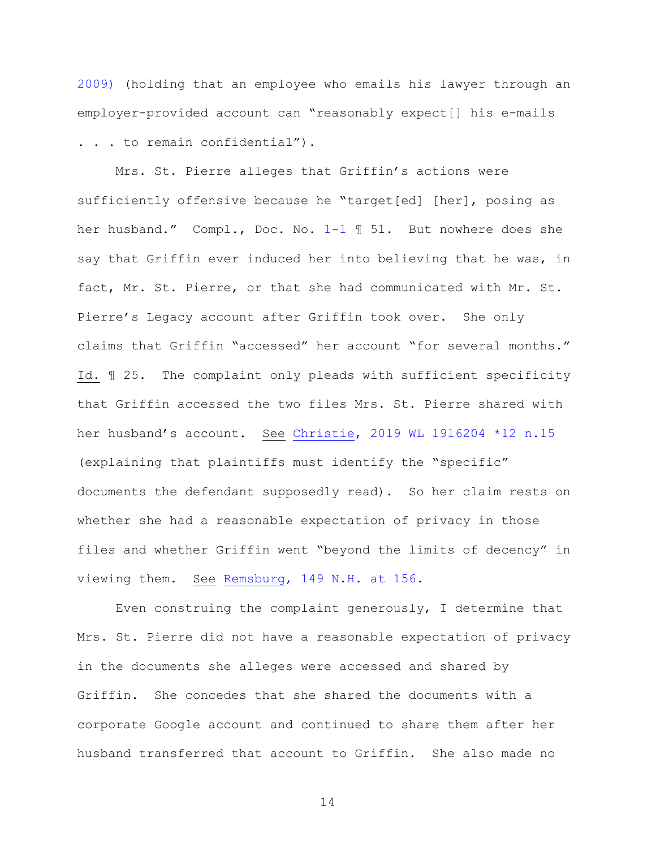[2009\)](https://www.westlaw.com/Document/Ibebdacdce64f11dea82ab9f4ee295c21/View/FullText.html?transitionType=Default&contextData=(sc.Default)&VR=3.0&RS=da3.0&fragmentIdentifier=co_pp_sp_4637_108) (holding that an employee who emails his lawyer through an employer-provided account can "reasonably expect[] his e-mails . . . to remain confidential").

Mrs. St. Pierre alleges that Griffin's actions were sufficiently offensive because he "target[ed] [her], posing as her husband." Compl., Doc. No. [1-1](https://nhd-ecf.sso.dcn/doc1/11712554197) ¶ 51. But nowhere does she say that Griffin ever induced her into believing that he was, in fact, Mr. St. Pierre, or that she had communicated with Mr. St. Pierre's Legacy account after Griffin took over. She only claims that Griffin "accessed" her account "for several months." Id. ¶ 25. The complaint only pleads with sufficient specificity that Griffin accessed the two files Mrs. St. Pierre shared with her husband's account. See [Christie, 2019 WL 1916204 \\*12 n.15](https://www.westlaw.com/Document/I3087b8706bbe11e99d608a2f8658c0b8/View/FullText.html?transitionType=Default&contextData=(sc.Default)&VR=3.0&RS=da3.0&fragmentIdentifier=co_pp_sp_999_12) (explaining that plaintiffs must identify the "specific" documents the defendant supposedly read). So her claim rests on whether she had a reasonable expectation of privacy in those files and whether Griffin went "beyond the limits of decency" in viewing them. See Remsburg, [149 N.H. at 156.](https://www.westlaw.com/Document/I4312569132f211d98b61a35269fc5f88/View/FullText.html?transitionType=Default&contextData=(sc.Default)&VR=3.0&RS=da3.0&fragmentIdentifier=co_pp_sp_579_156)

Even construing the complaint generously, I determine that Mrs. St. Pierre did not have a reasonable expectation of privacy in the documents she alleges were accessed and shared by Griffin. She concedes that she shared the documents with a corporate Google account and continued to share them after her husband transferred that account to Griffin. She also made no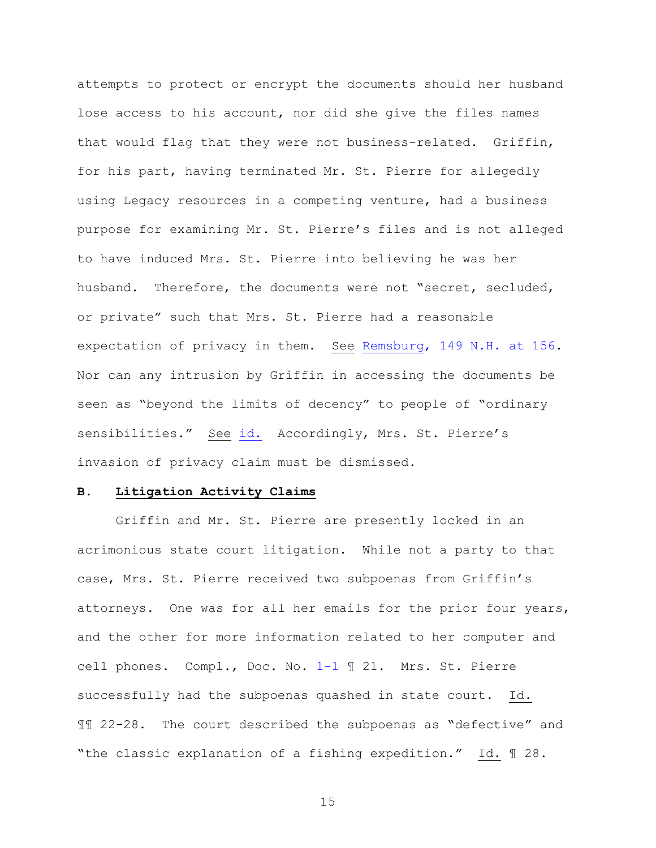attempts to protect or encrypt the documents should her husband lose access to his account, nor did she give the files names that would flag that they were not business-related. Griffin, for his part, having terminated Mr. St. Pierre for allegedly using Legacy resources in a competing venture, had a business purpose for examining Mr. St. Pierre's files and is not alleged to have induced Mrs. St. Pierre into believing he was her husband. Therefore, the documents were not "secret, secluded, or private" such that Mrs. St. Pierre had a reasonable expectation of privacy in them. See [Remsburg, 149 N.H. at 156.](https://www.westlaw.com/Document/I4312569132f211d98b61a35269fc5f88/View/FullText.html?transitionType=Default&contextData=(sc.Default)&VR=3.0&RS=da3.0&fragmentIdentifier=co_pp_sp_579_156) Nor can any intrusion by Griffin in accessing the documents be seen as "beyond the limits of decency" to people of "ordinary sensibilities." See [id.](https://www.westlaw.com/Document/I4312569132f211d98b61a35269fc5f88/View/FullText.html?transitionType=Default&contextData=(sc.Default)&VR=3.0&RS=da3.0&fragmentIdentifier=co_pp_sp_579_156) Accordingly, Mrs. St. Pierre's invasion of privacy claim must be dismissed.

## **B. Litigation Activity Claims**

Griffin and Mr. St. Pierre are presently locked in an acrimonious state court litigation. While not a party to that case, Mrs. St. Pierre received two subpoenas from Griffin's attorneys. One was for all her emails for the prior four years, and the other for more information related to her computer and cell phones. Compl., Doc. No. [1-1](https://nhd-ecf.sso.dcn/doc1/11712554197) ¶ 21. Mrs. St. Pierre successfully had the subpoenas quashed in state court. Id. ¶¶ 22-28. The court described the subpoenas as "defective" and "the classic explanation of a fishing expedition." Id. ¶ 28.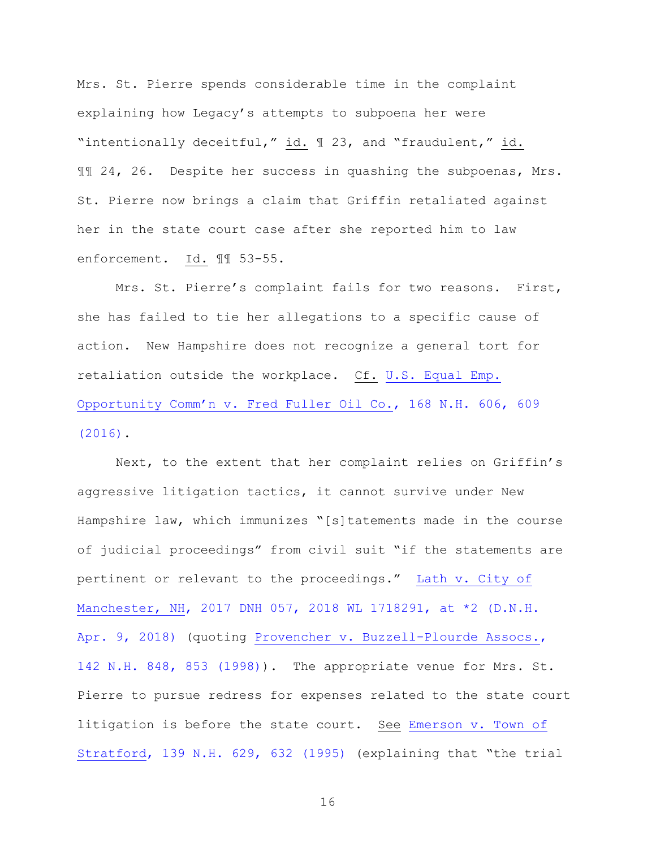Mrs. St. Pierre spends considerable time in the complaint explaining how Legacy's attempts to subpoena her were "intentionally deceitful," id. ¶ 23, and "fraudulent," id. ¶¶ 24, 26. Despite her success in quashing the subpoenas, Mrs. St. Pierre now brings a claim that Griffin retaliated against her in the state court case after she reported him to law enforcement. Id. ¶¶ 53-55.

Mrs. St. Pierre's complaint fails for two reasons. First, she has failed to tie her allegations to a specific cause of action. New Hampshire does not recognize a general tort for retaliation outside the workplace. Cf. [U.S. Equal Emp.](https://www.westlaw.com/Document/I7e5549c0da4711e5b10893af99153f48/View/FullText.html?transitionType=Default&contextData=(sc.Default)&VR=3.0&RS=da3.0&fragmentIdentifier=co_pp_sp_579_609)  [Opportunity Comm'n v. Fred Fuller Oil Co., 168 N.H. 606, 609](https://www.westlaw.com/Document/I7e5549c0da4711e5b10893af99153f48/View/FullText.html?transitionType=Default&contextData=(sc.Default)&VR=3.0&RS=da3.0&fragmentIdentifier=co_pp_sp_579_609)  [\(2016\).](https://www.westlaw.com/Document/I7e5549c0da4711e5b10893af99153f48/View/FullText.html?transitionType=Default&contextData=(sc.Default)&VR=3.0&RS=da3.0&fragmentIdentifier=co_pp_sp_579_609)

Next, to the extent that her complaint relies on Griffin's aggressive litigation tactics, it cannot survive under New Hampshire law, which immunizes "[s]tatements made in the course of judicial proceedings" from civil suit "if the statements are pertinent or relevant to the proceedings." [Lath v. City of](https://www.westlaw.com/Document/I419fc9803cb811e89d46ed79fb792237/View/FullText.html?transitionType=Default&contextData=(sc.Default)&VR=3.0&RS=da3.0&fragmentIdentifier=co_pp_sp_999_2)  [Manchester, NH, 2017 DNH 057, 2018 WL 1718291, at \\*2 \(D.N.H.](https://www.westlaw.com/Document/I419fc9803cb811e89d46ed79fb792237/View/FullText.html?transitionType=Default&contextData=(sc.Default)&VR=3.0&RS=da3.0&fragmentIdentifier=co_pp_sp_999_2)  [Apr. 9, 2018\)](https://www.westlaw.com/Document/I419fc9803cb811e89d46ed79fb792237/View/FullText.html?transitionType=Default&contextData=(sc.Default)&VR=3.0&RS=da3.0&fragmentIdentifier=co_pp_sp_999_2) (quoting Provencher v. Buzzell-Plourde Assocs., [142 N.H. 848, 853 \(1998\)\)](https://www.westlaw.com/Document/Ic13e118236f811d98b61a35269fc5f88/View/FullText.html?transitionType=Default&contextData=(sc.Default)&VR=3.0&RS=da3.0&fragmentIdentifier=co_pp_sp_579_853). The appropriate venue for Mrs. St. Pierre to pursue redress for expenses related to the state court litigation is before the state court. See [Emerson v. Town of](https://www.westlaw.com/Document/I12898e3a355411d98b61a35269fc5f88/View/FullText.html?transitionType=Default&contextData=(sc.Default)&VR=3.0&RS=da3.0&fragmentIdentifier=co_pp_sp_579_632)  [Stratford, 139 N.H. 629, 632 \(1995\)](https://www.westlaw.com/Document/I12898e3a355411d98b61a35269fc5f88/View/FullText.html?transitionType=Default&contextData=(sc.Default)&VR=3.0&RS=da3.0&fragmentIdentifier=co_pp_sp_579_632) (explaining that "the trial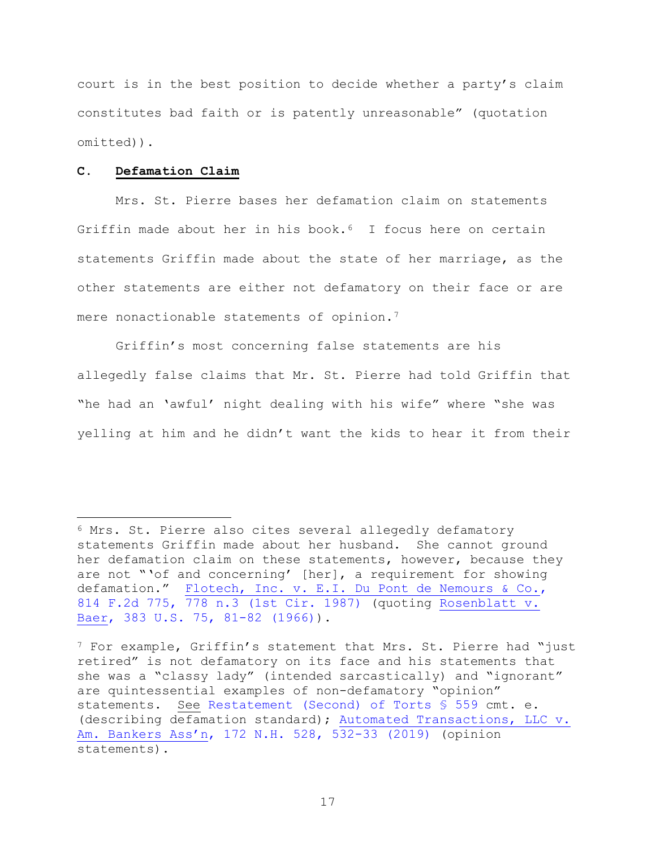court is in the best position to decide whether a party's claim constitutes bad faith or is patently unreasonable" (quotation omitted)).

## **C. Defamation Claim**

Mrs. St. Pierre bases her defamation claim on statements Griffin made about her in his book.<sup>[6](#page-16-0)</sup> I focus here on certain statements Griffin made about the state of her marriage, as the other statements are either not defamatory on their face or are mere nonactionable statements of opinion.<sup>[7](#page-16-1)</sup>

Griffin's most concerning false statements are his allegedly false claims that Mr. St. Pierre had told Griffin that "he had an 'awful' night dealing with his wife" where "she was yelling at him and he didn't want the kids to hear it from their

<span id="page-16-0"></span><sup>&</sup>lt;sup>6</sup> Mrs. St. Pierre also cites several allegedly defamatory statements Griffin made about her husband. She cannot ground her defamation claim on these statements, however, because they are not "'of and concerning' [her], a requirement for showing defamation." [Flotech, Inc. v. E.I. Du Pont de](https://www.westlaw.com/Document/I1ea6642b950011d9bc61beebb95be672/View/FullText.html?transitionType=Default&contextData=(sc.Default)&VR=3.0&RS=da3.0&fragmentIdentifier=co_pp_sp_350_778+n.3) Nemours & Co., [814 F.2d 775, 778 n.3 \(1st Cir. 1987\)](https://www.westlaw.com/Document/I1ea6642b950011d9bc61beebb95be672/View/FullText.html?transitionType=Default&contextData=(sc.Default)&VR=3.0&RS=da3.0&fragmentIdentifier=co_pp_sp_350_778+n.3) (quoting [Rosenblatt v.](https://www.westlaw.com/Document/I98be5c959c1c11d9bc61beebb95be672/View/FullText.html?transitionType=Default&contextData=(sc.Default)&VR=3.0&RS=da3.0&fragmentIdentifier=co_pp_sp_780_81)  [Baer, 383 U.S. 75, 81-82 \(1966\)\)](https://www.westlaw.com/Document/I98be5c959c1c11d9bc61beebb95be672/View/FullText.html?transitionType=Default&contextData=(sc.Default)&VR=3.0&RS=da3.0&fragmentIdentifier=co_pp_sp_780_81).

<span id="page-16-1"></span> $7$  For example, Griffin's statement that Mrs. St. Pierre had "just retired" is not defamatory on its face and his statements that she was a "classy lady" (intended sarcastically) and "ignorant" are quintessential examples of non-defamatory "opinion" statements. See [Restatement \(Second\) of Torts §](https://www.westlaw.com/Document/I82cb29d1dc1611e2ac56d4437d510c12/View/FullText.html?transitionType=Default&contextData=(sc.Default)&VR=3.0&RS=da3.0) 559 cmt. e. (describing defamation standard); [Automated Transactions, LLC v.](https://www.westlaw.com/Document/If3139410c03f11e9b449da4f1cc0e662/View/FullText.html?transitionType=Default&contextData=(sc.Default)&VR=3.0&RS=da3.0&fragmentIdentifier=co_pp_sp_579_532)  [Am. Bankers Ass'n, 172 N.H. 528, 532-33 \(2019\)](https://www.westlaw.com/Document/If3139410c03f11e9b449da4f1cc0e662/View/FullText.html?transitionType=Default&contextData=(sc.Default)&VR=3.0&RS=da3.0&fragmentIdentifier=co_pp_sp_579_532) (opinion statements).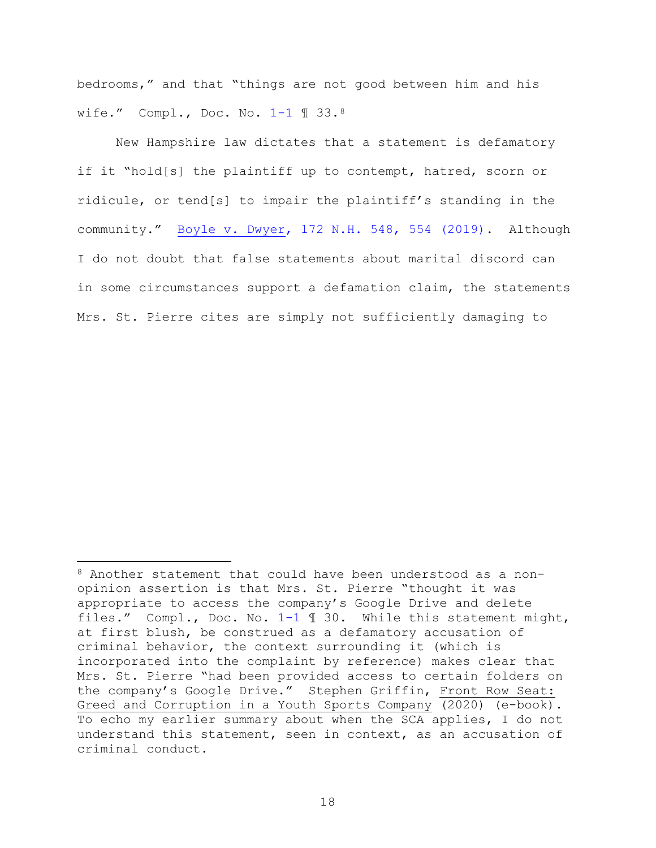bedrooms," and that "things are not good between him and his wife." Compl., Doc. No. [1-1](https://nhd-ecf.sso.dcn/doc1/11712554197) ¶ 33.[8](#page-17-0)

New Hampshire law dictates that a statement is defamatory if it "hold[s] the plaintiff up to contempt, hatred, scorn or ridicule, or tend[s] to impair the plaintiff's standing in the community." [Boyle v. Dwyer, 172 N.H. 548, 554 \(2019\).](https://www.westlaw.com/Document/I01635dc0c04011e9aec88be692101305/View/FullText.html?transitionType=Default&contextData=(sc.Default)&VR=3.0&RS=da3.0&fragmentIdentifier=co_pp_sp_579_554) Although I do not doubt that false statements about marital discord can in some circumstances support a defamation claim, the statements Mrs. St. Pierre cites are simply not sufficiently damaging to

<span id="page-17-0"></span><sup>8</sup> Another statement that could have been understood as a nonopinion assertion is that Mrs. St. Pierre "thought it was appropriate to access the company's Google Drive and delete files." Compl., Doc. No. [1-1](https://nhd-ecf.sso.dcn/doc1/11712554197) ¶ 30. While this statement might, at first blush, be construed as a defamatory accusation of criminal behavior, the context surrounding it (which is incorporated into the complaint by reference) makes clear that Mrs. St. Pierre "had been provided access to certain folders on the company's Google Drive." Stephen Griffin, Front Row Seat: Greed and Corruption in a Youth Sports Company (2020) (e-book). To echo my earlier summary about when the SCA applies, I do not understand this statement, seen in context, as an accusation of criminal conduct.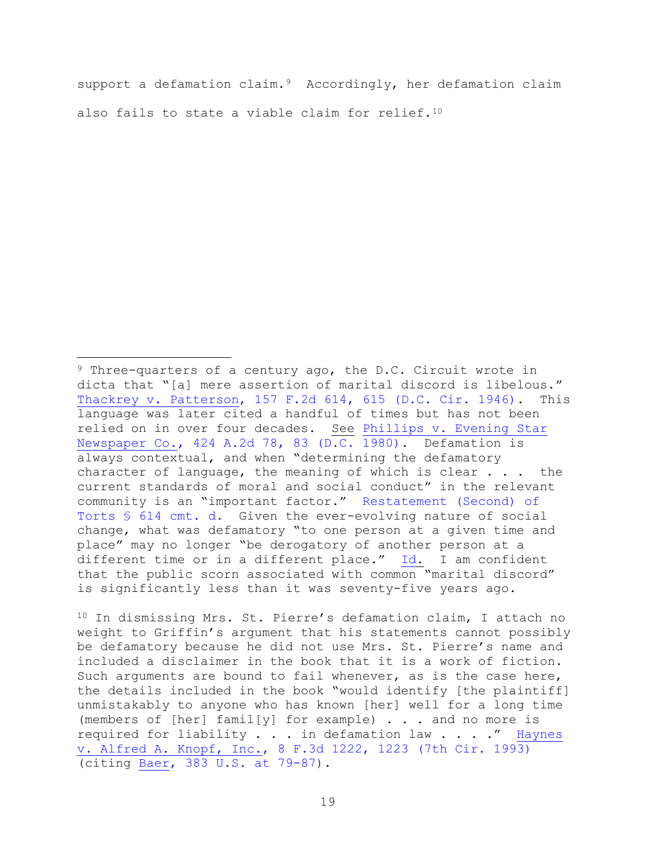support a defamation claim.<sup>9</sup> Accordingly, her defamation claim also fails to state a viable claim for relief.<sup>[10](#page-18-1)</sup>

<span id="page-18-1"></span><sup>10</sup> In dismissing Mrs. St. Pierre's defamation claim, I attach no weight to Griffin's argument that his statements cannot possibly be defamatory because he did not use Mrs. St. Pierre's name and included a disclaimer in the book that it is a work of fiction. Such arguments are bound to fail whenever, as is the case here, the details included in the book "would identify [the plaintiff] unmistakably to anyone who has known [her] well for a long time (members of [her] famil[y] for example) . . . and no more is required for liability . . . in defamation law . . . ." [Haynes](https://www.westlaw.com/Document/Ic869a7c196fd11d9a707f4371c9c34f0/View/FullText.html?transitionType=Default&contextData=(sc.Default)&VR=3.0&RS=da3.0&fragmentIdentifier=co_pp_sp_506_1223)  [v. Alfred A. Knopf, Inc., 8 F.3d 1222, 1223 \(7th Cir. 1993\)](https://www.westlaw.com/Document/Ic869a7c196fd11d9a707f4371c9c34f0/View/FullText.html?transitionType=Default&contextData=(sc.Default)&VR=3.0&RS=da3.0&fragmentIdentifier=co_pp_sp_506_1223) (citing [Baer, 383 U.S. at 79-87\)](https://www.westlaw.com/Document/I98be5c959c1c11d9bc61beebb95be672/View/FullText.html?transitionType=Default&contextData=(sc.Default)&VR=3.0&RS=da3.0&fragmentIdentifier=co_pp_sp_780_79).

<span id="page-18-0"></span><sup>&</sup>lt;sup>9</sup> Three-quarters of a century ago, the D.C. Circuit wrote in dicta that "[a] mere assertion of marital discord is libelous."<br>Thackrey y. Patterson, 157 F.2d 614, 615 (D.C. Cir. 1946). This [Thackrey v. Patterson, 157 F.2d 614, 615 \(D.C. Cir. 1946\).](https://www.westlaw.com/Document/I1ac466068e1011d98e8fb00d6c6a02dd/View/FullText.html?transitionType=Default&contextData=(sc.Default)&VR=3.0&RS=da3.0&fragmentIdentifier=co_pp_sp_350_615) language was later cited a handful of times but has not been relied on in over four decades. See [Phillips v. Evening Star](https://www.westlaw.com/Document/I01545158346311d98b61a35269fc5f88/View/FullText.html?transitionType=Default&contextData=(sc.Default)&VR=3.0&RS=da3.0&fragmentIdentifier=co_pp_sp_162_83)  [Newspaper Co., 424 A.2d 78, 83 \(D.C. 1980\).](https://www.westlaw.com/Document/I01545158346311d98b61a35269fc5f88/View/FullText.html?transitionType=Default&contextData=(sc.Default)&VR=3.0&RS=da3.0&fragmentIdentifier=co_pp_sp_162_83) Defamation is always contextual, and when "determining the defamatory character of language, the meaning of which is clear . . . the current standards of moral and social conduct" in the relevant community is an "important factor." [Restatement \(Second\) of](https://www.westlaw.com/Document/I82cb5126dc1611e2ac56d4437d510c12/View/FullText.html?transitionType=Default&contextData=(sc.Default)&VR=3.0&RS=da3.0)  [Torts §](https://www.westlaw.com/Document/I82cb5126dc1611e2ac56d4437d510c12/View/FullText.html?transitionType=Default&contextData=(sc.Default)&VR=3.0&RS=da3.0) 614 cmt. d. Given the ever-evolving nature of social change, what was defamatory "to one person at a given time and place" may no longer "be derogatory of another person at a different time or in a different place." [Id.](https://www.westlaw.com/Document/I01545158346311d98b61a35269fc5f88/View/FullText.html?transitionType=Default&contextData=(sc.Default)&VR=3.0&RS=da3.0) I am confident that the public scorn associated with common "marital discord" is significantly less than it was seventy-five years ago.